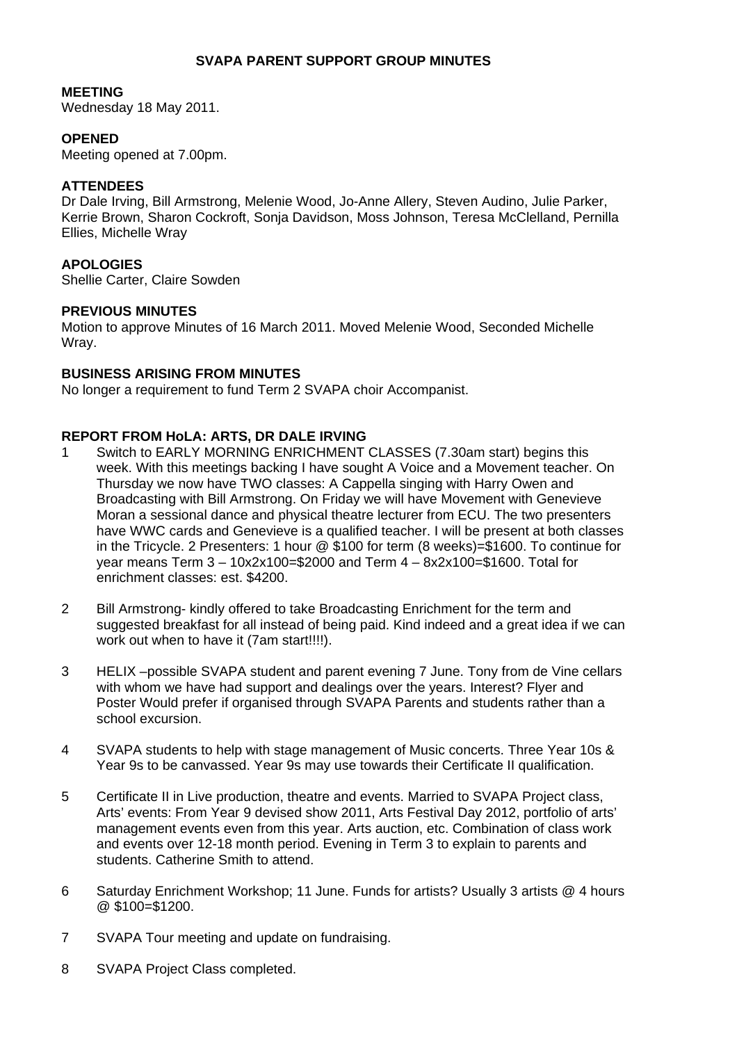# **SVAPA PARENT SUPPORT GROUP MINUTES**

#### **MEETING**

Wednesday 18 May 2011.

### **OPENED**

Meeting opened at 7.00pm.

#### **ATTENDEES**

Dr Dale Irving, Bill Armstrong, Melenie Wood, Jo-Anne Allery, Steven Audino, Julie Parker, Kerrie Brown, Sharon Cockroft, Sonja Davidson, Moss Johnson, Teresa McClelland, Pernilla Ellies, Michelle Wray

# **APOLOGIES**

Shellie Carter, Claire Sowden

#### **PREVIOUS MINUTES**

Motion to approve Minutes of 16 March 2011. Moved Melenie Wood, Seconded Michelle Wray.

# **BUSINESS ARISING FROM MINUTES**

No longer a requirement to fund Term 2 SVAPA choir Accompanist.

#### **REPORT FROM HoLA: ARTS, DR DALE IRVING**

- 1 Switch to EARLY MORNING ENRICHMENT CLASSES (7.30am start) begins this week. With this meetings backing I have sought A Voice and a Movement teacher. On Thursday we now have TWO classes: A Cappella singing with Harry Owen and Broadcasting with Bill Armstrong. On Friday we will have Movement with Genevieve Moran a sessional dance and physical theatre lecturer from ECU. The two presenters have WWC cards and Genevieve is a qualified teacher. I will be present at both classes in the Tricycle. 2 Presenters: 1 hour @ \$100 for term (8 weeks)=\$1600. To continue for year means Term 3 – 10x2x100=\$2000 and Term 4 – 8x2x100=\$1600. Total for enrichment classes: est. \$4200.
- 2 Bill Armstrong- kindly offered to take Broadcasting Enrichment for the term and suggested breakfast for all instead of being paid. Kind indeed and a great idea if we can work out when to have it (7am start!!!!).
- 3 HELIX –possible SVAPA student and parent evening 7 June. Tony from de Vine cellars with whom we have had support and dealings over the years. Interest? Flyer and Poster Would prefer if organised through SVAPA Parents and students rather than a school excursion.
- 4 SVAPA students to help with stage management of Music concerts. Three Year 10s & Year 9s to be canvassed. Year 9s may use towards their Certificate II qualification.
- 5 Certificate II in Live production, theatre and events. Married to SVAPA Project class, Arts' events: From Year 9 devised show 2011, Arts Festival Day 2012, portfolio of arts' management events even from this year. Arts auction, etc. Combination of class work and events over 12-18 month period. Evening in Term 3 to explain to parents and students. Catherine Smith to attend.
- 6 Saturday Enrichment Workshop; 11 June. Funds for artists? Usually 3 artists @ 4 hours @ \$100=\$1200.
- 7 SVAPA Tour meeting and update on fundraising.
- 8 SVAPA Project Class completed.